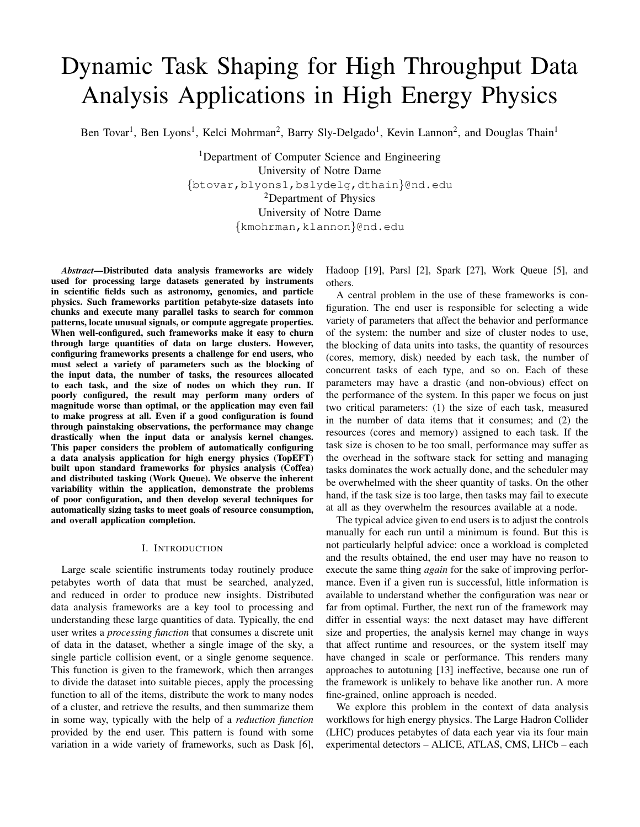# Dynamic Task Shaping for High Throughput Data Analysis Applications in High Energy Physics

Ben Tovar<sup>1</sup>, Ben Lyons<sup>1</sup>, Kelci Mohrman<sup>2</sup>, Barry Sly-Delgado<sup>1</sup>, Kevin Lannon<sup>2</sup>, and Douglas Thain<sup>1</sup>

<sup>1</sup>Department of Computer Science and Engineering University of Notre Dame {btovar,blyons1,bslydelg,dthain}@nd.edu <sup>2</sup>Department of Physics University of Notre Dame {kmohrman,klannon}@nd.edu

*Abstract*—Distributed data analysis frameworks are widely used for processing large datasets generated by instruments in scientific fields such as astronomy, genomics, and particle physics. Such frameworks partition petabyte-size datasets into chunks and execute many parallel tasks to search for common patterns, locate unusual signals, or compute aggregate properties. When well-configured, such frameworks make it easy to churn through large quantities of data on large clusters. However, configuring frameworks presents a challenge for end users, who must select a variety of parameters such as the blocking of the input data, the number of tasks, the resources allocated to each task, and the size of nodes on which they run. If poorly configured, the result may perform many orders of magnitude worse than optimal, or the application may even fail to make progress at all. Even if a good configuration is found through painstaking observations, the performance may change drastically when the input data or analysis kernel changes. This paper considers the problem of automatically configuring a data analysis application for high energy physics (TopEFT) built upon standard frameworks for physics analysis (Coffea) and distributed tasking (Work Queue). We observe the inherent variability within the application, demonstrate the problems of poor configuration, and then develop several techniques for automatically sizing tasks to meet goals of resource consumption, and overall application completion.

#### I. INTRODUCTION

Large scale scientific instruments today routinely produce petabytes worth of data that must be searched, analyzed, and reduced in order to produce new insights. Distributed data analysis frameworks are a key tool to processing and understanding these large quantities of data. Typically, the end user writes a *processing function* that consumes a discrete unit of data in the dataset, whether a single image of the sky, a single particle collision event, or a single genome sequence. This function is given to the framework, which then arranges to divide the dataset into suitable pieces, apply the processing function to all of the items, distribute the work to many nodes of a cluster, and retrieve the results, and then summarize them in some way, typically with the help of a *reduction function* provided by the end user. This pattern is found with some variation in a wide variety of frameworks, such as Dask [6], Hadoop [19], Parsl [2], Spark [27], Work Queue [5], and others.

A central problem in the use of these frameworks is configuration. The end user is responsible for selecting a wide variety of parameters that affect the behavior and performance of the system: the number and size of cluster nodes to use, the blocking of data units into tasks, the quantity of resources (cores, memory, disk) needed by each task, the number of concurrent tasks of each type, and so on. Each of these parameters may have a drastic (and non-obvious) effect on the performance of the system. In this paper we focus on just two critical parameters: (1) the size of each task, measured in the number of data items that it consumes; and (2) the resources (cores and memory) assigned to each task. If the task size is chosen to be too small, performance may suffer as the overhead in the software stack for setting and managing tasks dominates the work actually done, and the scheduler may be overwhelmed with the sheer quantity of tasks. On the other hand, if the task size is too large, then tasks may fail to execute at all as they overwhelm the resources available at a node.

The typical advice given to end users is to adjust the controls manually for each run until a minimum is found. But this is not particularly helpful advice: once a workload is completed and the results obtained, the end user may have no reason to execute the same thing *again* for the sake of improving performance. Even if a given run is successful, little information is available to understand whether the configuration was near or far from optimal. Further, the next run of the framework may differ in essential ways: the next dataset may have different size and properties, the analysis kernel may change in ways that affect runtime and resources, or the system itself may have changed in scale or performance. This renders many approaches to autotuning [13] ineffective, because one run of the framework is unlikely to behave like another run. A more fine-grained, online approach is needed.

We explore this problem in the context of data analysis workflows for high energy physics. The Large Hadron Collider (LHC) produces petabytes of data each year via its four main experimental detectors – ALICE, ATLAS, CMS, LHCb – each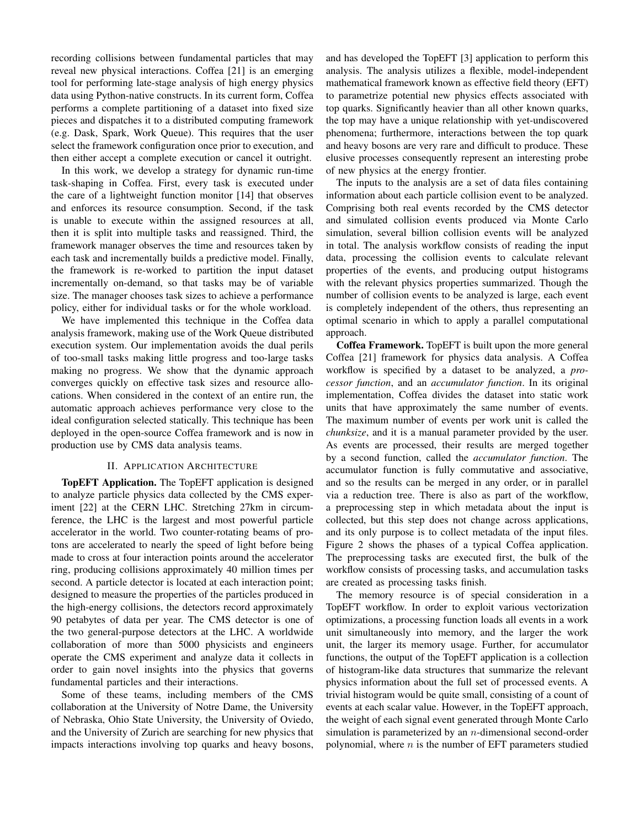recording collisions between fundamental particles that may reveal new physical interactions. Coffea [21] is an emerging tool for performing late-stage analysis of high energy physics data using Python-native constructs. In its current form, Coffea performs a complete partitioning of a dataset into fixed size pieces and dispatches it to a distributed computing framework (e.g. Dask, Spark, Work Queue). This requires that the user select the framework configuration once prior to execution, and then either accept a complete execution or cancel it outright.

In this work, we develop a strategy for dynamic run-time task-shaping in Coffea. First, every task is executed under the care of a lightweight function monitor [14] that observes and enforces its resource consumption. Second, if the task is unable to execute within the assigned resources at all, then it is split into multiple tasks and reassigned. Third, the framework manager observes the time and resources taken by each task and incrementally builds a predictive model. Finally, the framework is re-worked to partition the input dataset incrementally on-demand, so that tasks may be of variable size. The manager chooses task sizes to achieve a performance policy, either for individual tasks or for the whole workload.

We have implemented this technique in the Coffea data analysis framework, making use of the Work Queue distributed execution system. Our implementation avoids the dual perils of too-small tasks making little progress and too-large tasks making no progress. We show that the dynamic approach converges quickly on effective task sizes and resource allocations. When considered in the context of an entire run, the automatic approach achieves performance very close to the ideal configuration selected statically. This technique has been deployed in the open-source Coffea framework and is now in production use by CMS data analysis teams.

# II. APPLICATION ARCHITECTURE

TopEFT Application. The TopEFT application is designed to analyze particle physics data collected by the CMS experiment [22] at the CERN LHC. Stretching 27km in circumference, the LHC is the largest and most powerful particle accelerator in the world. Two counter-rotating beams of protons are accelerated to nearly the speed of light before being made to cross at four interaction points around the accelerator ring, producing collisions approximately 40 million times per second. A particle detector is located at each interaction point; designed to measure the properties of the particles produced in the high-energy collisions, the detectors record approximately 90 petabytes of data per year. The CMS detector is one of the two general-purpose detectors at the LHC. A worldwide collaboration of more than 5000 physicists and engineers operate the CMS experiment and analyze data it collects in order to gain novel insights into the physics that governs fundamental particles and their interactions.

Some of these teams, including members of the CMS collaboration at the University of Notre Dame, the University of Nebraska, Ohio State University, the University of Oviedo, and the University of Zurich are searching for new physics that impacts interactions involving top quarks and heavy bosons, and has developed the TopEFT [3] application to perform this analysis. The analysis utilizes a flexible, model-independent mathematical framework known as effective field theory (EFT) to parametrize potential new physics effects associated with top quarks. Significantly heavier than all other known quarks, the top may have a unique relationship with yet-undiscovered phenomena; furthermore, interactions between the top quark and heavy bosons are very rare and difficult to produce. These elusive processes consequently represent an interesting probe of new physics at the energy frontier.

The inputs to the analysis are a set of data files containing information about each particle collision event to be analyzed. Comprising both real events recorded by the CMS detector and simulated collision events produced via Monte Carlo simulation, several billion collision events will be analyzed in total. The analysis workflow consists of reading the input data, processing the collision events to calculate relevant properties of the events, and producing output histograms with the relevant physics properties summarized. Though the number of collision events to be analyzed is large, each event is completely independent of the others, thus representing an optimal scenario in which to apply a parallel computational approach.

Coffea Framework. TopEFT is built upon the more general Coffea [21] framework for physics data analysis. A Coffea workflow is specified by a dataset to be analyzed, a *processor function*, and an *accumulator function*. In its original implementation, Coffea divides the dataset into static work units that have approximately the same number of events. The maximum number of events per work unit is called the *chunksize*, and it is a manual parameter provided by the user. As events are processed, their results are merged together by a second function, called the *accumulator function*. The accumulator function is fully commutative and associative, and so the results can be merged in any order, or in parallel via a reduction tree. There is also as part of the workflow, a preprocessing step in which metadata about the input is collected, but this step does not change across applications, and its only purpose is to collect metadata of the input files. Figure 2 shows the phases of a typical Coffea application. The preprocessing tasks are executed first, the bulk of the workflow consists of processing tasks, and accumulation tasks are created as processing tasks finish.

The memory resource is of special consideration in a TopEFT workflow. In order to exploit various vectorization optimizations, a processing function loads all events in a work unit simultaneously into memory, and the larger the work unit, the larger its memory usage. Further, for accumulator functions, the output of the TopEFT application is a collection of histogram-like data structures that summarize the relevant physics information about the full set of processed events. A trivial histogram would be quite small, consisting of a count of events at each scalar value. However, in the TopEFT approach, the weight of each signal event generated through Monte Carlo simulation is parameterized by an  $n$ -dimensional second-order polynomial, where  $n$  is the number of EFT parameters studied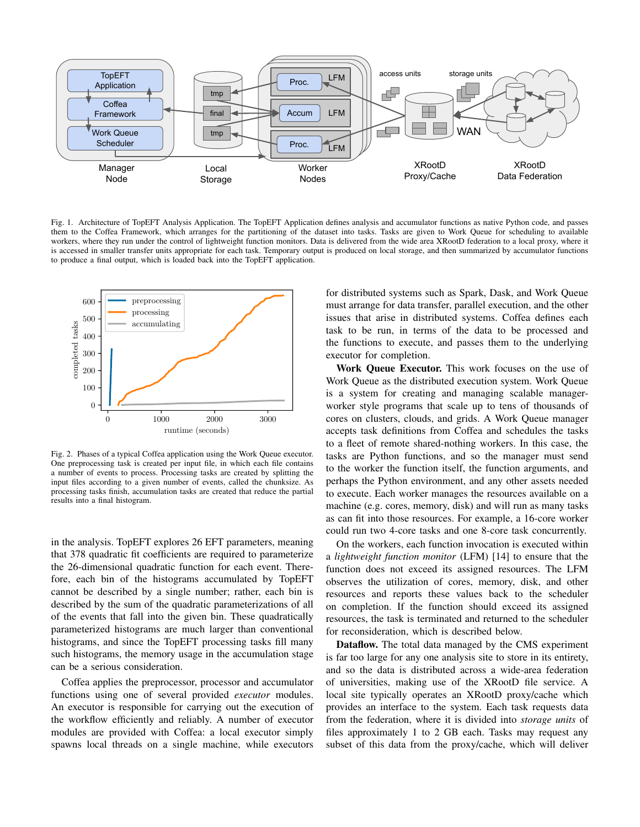

Fig. 1. Architecture of TopEFT Analysis Application. The TopEFT Application defines analysis and accumulator functions as native Python code, and passes them to the Coffea Framework, which arranges for the partitioning of the dataset into tasks. Tasks are given to Work Queue for scheduling to available workers, where they run under the control of lightweight function monitors. Data is delivered from the wide area XRootD federation to a local proxy, where it is accessed in smaller transfer units appropriate for each task. Temporary output is produced on local storage, and then summarized by accumulator functions to produce a final output, which is loaded back into the TopEFT application.



Fig. 2. Phases of a typical Coffea application using the Work Queue executor. One preprocessing task is created per input file, in which each file contains a number of events to process. Processing tasks are created by splitting the input files according to a given number of events, called the chunksize. As processing tasks finish, accumulation tasks are created that reduce the partial results into a final histogram.

in the analysis. TopEFT explores 26 EFT parameters, meaning that 378 quadratic fit coefficients are required to parameterize the 26-dimensional quadratic function for each event. Therefore, each bin of the histograms accumulated by TopEFT cannot be described by a single number; rather, each bin is described by the sum of the quadratic parameterizations of all of the events that fall into the given bin. These quadratically parameterized histograms are much larger than conventional histograms, and since the TopEFT processing tasks fill many such histograms, the memory usage in the accumulation stage can be a serious consideration.

Coffea applies the preprocessor, processor and accumulator functions using one of several provided *executor* modules. An executor is responsible for carrying out the execution of the workflow efficiently and reliably. A number of executor modules are provided with Coffea: a local executor simply spawns local threads on a single machine, while executors for distributed systems such as Spark, Dask, and Work Queue must arrange for data transfer, parallel execution, and the other issues that arise in distributed systems. Coffea defines each task to be run, in terms of the data to be processed and the functions to execute, and passes them to the underlying executor for completion.

Work Queue Executor. This work focuses on the use of Work Queue as the distributed execution system. Work Queue is a system for creating and managing scalable managerworker style programs that scale up to tens of thousands of cores on clusters, clouds, and grids. A Work Queue manager accepts task definitions from Coffea and schedules the tasks to a fleet of remote shared-nothing workers. In this case, the tasks are Python functions, and so the manager must send to the worker the function itself, the function arguments, and perhaps the Python environment, and any other assets needed to execute. Each worker manages the resources available on a machine (e.g. cores, memory, disk) and will run as many tasks as can fit into those resources. For example, a 16-core worker could run two 4-core tasks and one 8-core task concurrently.

On the workers, each function invocation is executed within a *lightweight function monitor* (LFM) [14] to ensure that the function does not exceed its assigned resources. The LFM observes the utilization of cores, memory, disk, and other resources and reports these values back to the scheduler on completion. If the function should exceed its assigned resources, the task is terminated and returned to the scheduler for reconsideration, which is described below.

Dataflow. The total data managed by the CMS experiment is far too large for any one analysis site to store in its entirety, and so the data is distributed across a wide-area federation of universities, making use of the XRootD file service. A local site typically operates an XRootD proxy/cache which provides an interface to the system. Each task requests data from the federation, where it is divided into *storage units* of files approximately 1 to 2 GB each. Tasks may request any subset of this data from the proxy/cache, which will deliver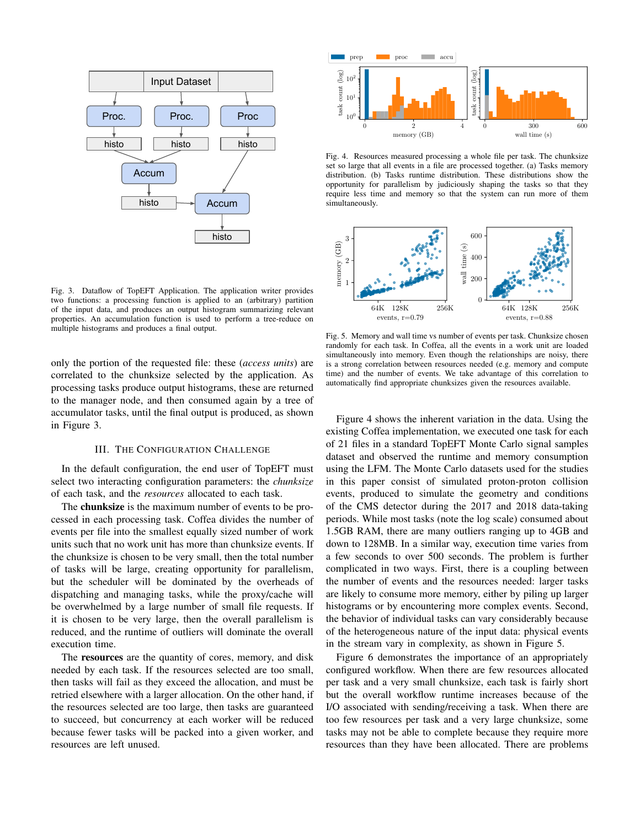

Fig. 3. Dataflow of TopEFT Application. The application writer provides two functions: a processing function is applied to an (arbitrary) partition of the input data, and produces an output histogram summarizing relevant properties. An accumulation function is used to perform a tree-reduce on multiple histograms and produces a final output.

only the portion of the requested file: these (*access units*) are correlated to the chunksize selected by the application. As processing tasks produce output histograms, these are returned to the manager node, and then consumed again by a tree of accumulator tasks, until the final output is produced, as shown in Figure 3.

#### III. THE CONFIGURATION CHALLENGE

In the default configuration, the end user of TopEFT must select two interacting configuration parameters: the *chunksize* of each task, and the *resources* allocated to each task.

The **chunksize** is the maximum number of events to be processed in each processing task. Coffea divides the number of events per file into the smallest equally sized number of work units such that no work unit has more than chunksize events. If the chunksize is chosen to be very small, then the total number of tasks will be large, creating opportunity for parallelism, but the scheduler will be dominated by the overheads of dispatching and managing tasks, while the proxy/cache will be overwhelmed by a large number of small file requests. If it is chosen to be very large, then the overall parallelism is reduced, and the runtime of outliers will dominate the overall execution time.

The resources are the quantity of cores, memory, and disk needed by each task. If the resources selected are too small, then tasks will fail as they exceed the allocation, and must be retried elsewhere with a larger allocation. On the other hand, if the resources selected are too large, then tasks are guaranteed to succeed, but concurrency at each worker will be reduced because fewer tasks will be packed into a given worker, and resources are left unused.



Fig. 4. Resources measured processing a whole file per task. The chunksize set so large that all events in a file are processed together. (a) Tasks memory distribution. (b) Tasks runtime distribution. These distributions show the opportunity for parallelism by judiciously shaping the tasks so that they require less time and memory so that the system can run more of them simultaneously.



Fig. 5. Memory and wall time vs number of events per task. Chunksize chosen randomly for each task. In Coffea, all the events in a work unit are loaded simultaneously into memory. Even though the relationships are noisy, there is a strong correlation between resources needed (e.g. memory and compute time) and the number of events. We take advantage of this correlation to automatically find appropriate chunksizes given the resources available.

Figure 4 shows the inherent variation in the data. Using the existing Coffea implementation, we executed one task for each of 21 files in a standard TopEFT Monte Carlo signal samples dataset and observed the runtime and memory consumption using the LFM. The Monte Carlo datasets used for the studies in this paper consist of simulated proton-proton collision events, produced to simulate the geometry and conditions of the CMS detector during the 2017 and 2018 data-taking periods. While most tasks (note the log scale) consumed about 1.5GB RAM, there are many outliers ranging up to 4GB and down to 128MB. In a similar way, execution time varies from a few seconds to over 500 seconds. The problem is further complicated in two ways. First, there is a coupling between the number of events and the resources needed: larger tasks are likely to consume more memory, either by piling up larger histograms or by encountering more complex events. Second, the behavior of individual tasks can vary considerably because of the heterogeneous nature of the input data: physical events in the stream vary in complexity, as shown in Figure 5.

Figure 6 demonstrates the importance of an appropriately configured workflow. When there are few resources allocated per task and a very small chunksize, each task is fairly short but the overall workflow runtime increases because of the I/O associated with sending/receiving a task. When there are too few resources per task and a very large chunksize, some tasks may not be able to complete because they require more resources than they have been allocated. There are problems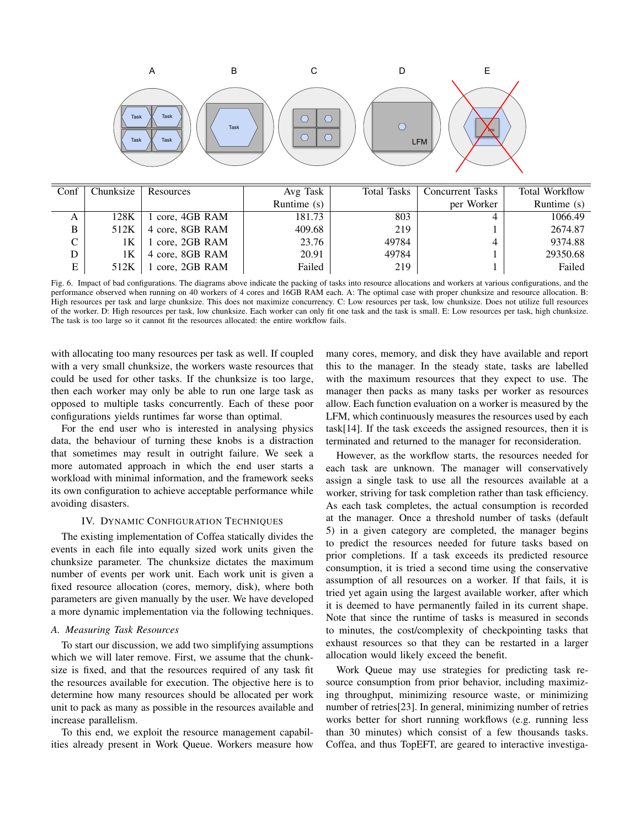

| Conf | Chunksize | Resources       | Avg Task      | Total Tasks | <b>Concurrent Tasks</b> | <b>Total Workflow</b> |
|------|-----------|-----------------|---------------|-------------|-------------------------|-----------------------|
|      |           |                 | Runtime $(s)$ |             | per Worker              | Runtime $(s)$         |
| A    | 128K      | core, 4GB RAM   | 181.73        | 803         |                         | 1066.49               |
| B    | 512K      | 4 core, 8GB RAM | 409.68        | 219         |                         | 2674.87               |
| C    | 1Κ        | 1 core, 2GB RAM | 23.76         | 49784       |                         | 9374.88               |
| D    | 1Κ        | 4 core, 8GB RAM | 20.91         | 49784       |                         | 29350.68              |
| E    | 512K      | 1 core, 2GB RAM | Failed        | 219         |                         | Failed                |

Fig. 6. Impact of bad configurations. The diagrams above indicate the packing of tasks into resource allocations and workers at various configurations, and the performance observed when running on 40 workers of 4 cores and 16GB RAM each. A: The optimal case with proper chunksize and resource allocation. B: High resources per task and large chunksize. This does not maximize concurrency. C: Low resources per task, low chunksize. Does not utilize full resources of the worker. D: High resources per task, low chunksize. Each worker can only fit one task and the task is small. E: Low resources per task, high chunksize. The task is too large so it cannot fit the resources allocated: the entire workflow fails.

with allocating too many resources per task as well. If coupled with a very small chunksize, the workers waste resources that could be used for other tasks. If the chunksize is too large, then each worker may only be able to run one large task as opposed to multiple tasks concurrently. Each of these poor configurations yields runtimes far worse than optimal.

For the end user who is interested in analysing physics data, the behaviour of turning these knobs is a distraction that sometimes may result in outright failure. We seek a more automated approach in which the end user starts a workload with minimal information, and the framework seeks its own configuration to achieve acceptable performance while avoiding disasters.

## IV. DYNAMIC CONFIGURATION TECHNIQUES

The existing implementation of Coffea statically divides the events in each file into equally sized work units given the chunksize parameter. The chunksize dictates the maximum number of events per work unit. Each work unit is given a fixed resource allocation (cores, memory, disk), where both parameters are given manually by the user. We have developed a more dynamic implementation via the following techniques.

#### *A. Measuring Task Resources*

To start our discussion, we add two simplifying assumptions which we will later remove. First, we assume that the chunksize is fixed, and that the resources required of any task fit the resources available for execution. The objective here is to determine how many resources should be allocated per work unit to pack as many as possible in the resources available and increase parallelism.

To this end, we exploit the resource management capabilities already present in Work Queue. Workers measure how many cores, memory, and disk they have available and report this to the manager. In the steady state, tasks are labelled with the maximum resources that they expect to use. The manager then packs as many tasks per worker as resources allow. Each function evaluation on a worker is measured by the LFM, which continuously measures the resources used by each task[14]. If the task exceeds the assigned resources, then it is terminated and returned to the manager for reconsideration.

However, as the workflow starts, the resources needed for each task are unknown. The manager will conservatively assign a single task to use all the resources available at a worker, striving for task completion rather than task efficiency. As each task completes, the actual consumption is recorded at the manager. Once a threshold number of tasks (default 5) in a given category are completed, the manager begins to predict the resources needed for future tasks based on prior completions. If a task exceeds its predicted resource consumption, it is tried a second time using the conservative assumption of all resources on a worker. If that fails, it is tried yet again using the largest available worker, after which it is deemed to have permanently failed in its current shape. Note that since the runtime of tasks is measured in seconds to minutes, the cost/complexity of checkpointing tasks that exhaust resources so that they can be restarted in a larger allocation would likely exceed the benefit.

Work Queue may use strategies for predicting task resource consumption from prior behavior, including maximizing throughput, minimizing resource waste, or minimizing number of retries[23]. In general, minimizing number of retries works better for short running workflows (e.g. running less than 30 minutes) which consist of a few thousands tasks. Coffea, and thus TopEFT, are geared to interactive investiga-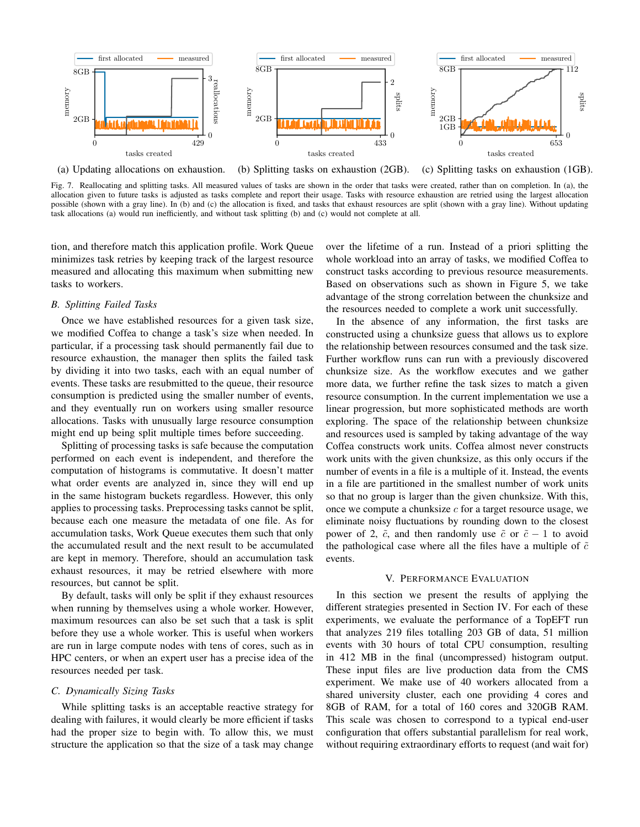

(a) Updating allocations on exhaustion. (b) Splitting tasks on exhaustion (2GB). (c) Splitting tasks on exhaustion (1GB).

Fig. 7. Reallocating and splitting tasks. All measured values of tasks are shown in the order that tasks were created, rather than on completion. In (a), the allocation given to future tasks is adjusted as tasks complete and report their usage. Tasks with resource exhaustion are retried using the largest allocation possible (shown with a gray line). In (b) and (c) the allocation is fixed, and tasks that exhaust resources are split (shown with a gray line). Without updating task allocations (a) would run inefficiently, and without task splitting (b) and (c) would not complete at all.

tion, and therefore match this application profile. Work Queue minimizes task retries by keeping track of the largest resource measured and allocating this maximum when submitting new tasks to workers.

# *B. Splitting Failed Tasks*

Once we have established resources for a given task size, we modified Coffea to change a task's size when needed. In particular, if a processing task should permanently fail due to resource exhaustion, the manager then splits the failed task by dividing it into two tasks, each with an equal number of events. These tasks are resubmitted to the queue, their resource consumption is predicted using the smaller number of events, and they eventually run on workers using smaller resource allocations. Tasks with unusually large resource consumption might end up being split multiple times before succeeding.

Splitting of processing tasks is safe because the computation performed on each event is independent, and therefore the computation of histograms is commutative. It doesn't matter what order events are analyzed in, since they will end up in the same histogram buckets regardless. However, this only applies to processing tasks. Preprocessing tasks cannot be split, because each one measure the metadata of one file. As for accumulation tasks, Work Queue executes them such that only the accumulated result and the next result to be accumulated are kept in memory. Therefore, should an accumulation task exhaust resources, it may be retried elsewhere with more resources, but cannot be split.

By default, tasks will only be split if they exhaust resources when running by themselves using a whole worker. However, maximum resources can also be set such that a task is split before they use a whole worker. This is useful when workers are run in large compute nodes with tens of cores, such as in HPC centers, or when an expert user has a precise idea of the resources needed per task.

#### *C. Dynamically Sizing Tasks*

While splitting tasks is an acceptable reactive strategy for dealing with failures, it would clearly be more efficient if tasks had the proper size to begin with. To allow this, we must structure the application so that the size of a task may change

over the lifetime of a run. Instead of a priori splitting the whole workload into an array of tasks, we modified Coffea to construct tasks according to previous resource measurements. Based on observations such as shown in Figure 5, we take advantage of the strong correlation between the chunksize and the resources needed to complete a work unit successfully.

In the absence of any information, the first tasks are constructed using a chunksize guess that allows us to explore the relationship between resources consumed and the task size. Further workflow runs can run with a previously discovered chunksize size. As the workflow executes and we gather more data, we further refine the task sizes to match a given resource consumption. In the current implementation we use a linear progression, but more sophisticated methods are worth exploring. The space of the relationship between chunksize and resources used is sampled by taking advantage of the way Coffea constructs work units. Coffea almost never constructs work units with the given chunksize, as this only occurs if the number of events in a file is a multiple of it. Instead, the events in a file are partitioned in the smallest number of work units so that no group is larger than the given chunksize. With this, once we compute a chunksize  $c$  for a target resource usage, we eliminate noisy fluctuations by rounding down to the closest power of 2,  $\tilde{c}$ , and then randomly use  $\tilde{c}$  or  $\tilde{c} - 1$  to avoid the pathological case where all the files have a multiple of  $\tilde{c}$ events.

#### V. PERFORMANCE EVALUATION

In this section we present the results of applying the different strategies presented in Section IV. For each of these experiments, we evaluate the performance of a TopEFT run that analyzes 219 files totalling 203 GB of data, 51 million events with 30 hours of total CPU consumption, resulting in 412 MB in the final (uncompressed) histogram output. These input files are live production data from the CMS experiment. We make use of 40 workers allocated from a shared university cluster, each one providing 4 cores and 8GB of RAM, for a total of 160 cores and 320GB RAM. This scale was chosen to correspond to a typical end-user configuration that offers substantial parallelism for real work, without requiring extraordinary efforts to request (and wait for)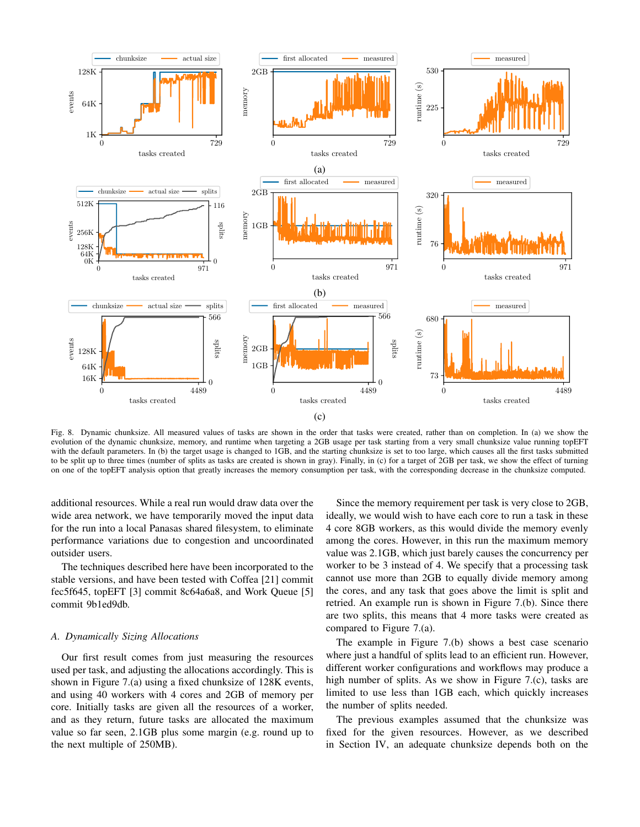

Fig. 8. Dynamic chunksize. All measured values of tasks are shown in the order that tasks were created, rather than on completion. In (a) we show the evolution of the dynamic chunksize, memory, and runtime when targeting a 2GB usage per task starting from a very small chunksize value running topEFT with the default parameters. In (b) the target usage is changed to 1GB, and the starting chunksize is set to too large, which causes all the first tasks submitted to be split up to three times (number of splits as tasks are created is shown in gray). Finally, in (c) for a target of 2GB per task, we show the effect of turning on one of the topEFT analysis option that greatly increases the memory consumption per task, with the corresponding decrease in the chunksize computed.

additional resources. While a real run would draw data over the wide area network, we have temporarily moved the input data for the run into a local Panasas shared filesystem, to eliminate performance variations due to congestion and uncoordinated outsider users.

The techniques described here have been incorporated to the stable versions, and have been tested with Coffea [21] commit fec5f645, topEFT [3] commit 8c64a6a8, and Work Queue [5] commit 9b1ed9db.

# *A. Dynamically Sizing Allocations*

Our first result comes from just measuring the resources used per task, and adjusting the allocations accordingly. This is shown in Figure 7.(a) using a fixed chunksize of 128K events, and using 40 workers with 4 cores and 2GB of memory per core. Initially tasks are given all the resources of a worker, and as they return, future tasks are allocated the maximum value so far seen, 2.1GB plus some margin (e.g. round up to the next multiple of 250MB).

Since the memory requirement per task is very close to 2GB, ideally, we would wish to have each core to run a task in these 4 core 8GB workers, as this would divide the memory evenly among the cores. However, in this run the maximum memory value was 2.1GB, which just barely causes the concurrency per worker to be 3 instead of 4. We specify that a processing task cannot use more than 2GB to equally divide memory among the cores, and any task that goes above the limit is split and retried. An example run is shown in Figure 7.(b). Since there are two splits, this means that 4 more tasks were created as compared to Figure 7.(a).

The example in Figure 7.(b) shows a best case scenario where just a handful of splits lead to an efficient run. However, different worker configurations and workflows may produce a high number of splits. As we show in Figure 7.(c), tasks are limited to use less than 1GB each, which quickly increases the number of splits needed.

The previous examples assumed that the chunksize was fixed for the given resources. However, as we described in Section IV, an adequate chunksize depends both on the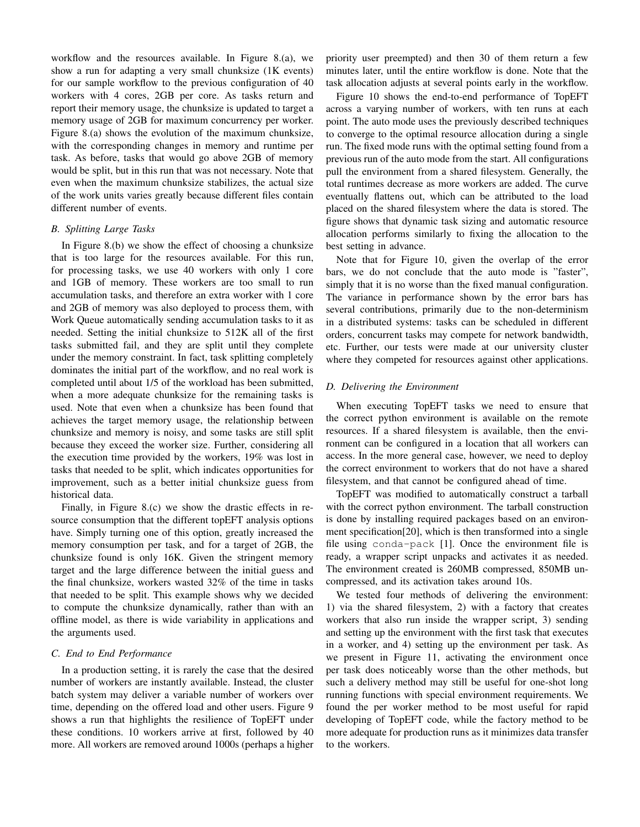workflow and the resources available. In Figure 8.(a), we show a run for adapting a very small chunksize (1K events) for our sample workflow to the previous configuration of 40 workers with 4 cores, 2GB per core. As tasks return and report their memory usage, the chunksize is updated to target a memory usage of 2GB for maximum concurrency per worker. Figure 8.(a) shows the evolution of the maximum chunksize, with the corresponding changes in memory and runtime per task. As before, tasks that would go above 2GB of memory would be split, but in this run that was not necessary. Note that even when the maximum chunksize stabilizes, the actual size of the work units varies greatly because different files contain different number of events.

# *B. Splitting Large Tasks*

In Figure 8.(b) we show the effect of choosing a chunksize that is too large for the resources available. For this run, for processing tasks, we use 40 workers with only 1 core and 1GB of memory. These workers are too small to run accumulation tasks, and therefore an extra worker with 1 core and 2GB of memory was also deployed to process them, with Work Queue automatically sending accumulation tasks to it as needed. Setting the initial chunksize to 512K all of the first tasks submitted fail, and they are split until they complete under the memory constraint. In fact, task splitting completely dominates the initial part of the workflow, and no real work is completed until about 1/5 of the workload has been submitted, when a more adequate chunksize for the remaining tasks is used. Note that even when a chunksize has been found that achieves the target memory usage, the relationship between chunksize and memory is noisy, and some tasks are still split because they exceed the worker size. Further, considering all the execution time provided by the workers, 19% was lost in tasks that needed to be split, which indicates opportunities for improvement, such as a better initial chunksize guess from historical data.

Finally, in Figure 8.(c) we show the drastic effects in resource consumption that the different topEFT analysis options have. Simply turning one of this option, greatly increased the memory consumption per task, and for a target of 2GB, the chunksize found is only 16K. Given the stringent memory target and the large difference between the initial guess and the final chunksize, workers wasted 32% of the time in tasks that needed to be split. This example shows why we decided to compute the chunksize dynamically, rather than with an offline model, as there is wide variability in applications and the arguments used.

## *C. End to End Performance*

In a production setting, it is rarely the case that the desired number of workers are instantly available. Instead, the cluster batch system may deliver a variable number of workers over time, depending on the offered load and other users. Figure 9 shows a run that highlights the resilience of TopEFT under these conditions. 10 workers arrive at first, followed by 40 more. All workers are removed around 1000s (perhaps a higher priority user preempted) and then 30 of them return a few minutes later, until the entire workflow is done. Note that the task allocation adjusts at several points early in the workflow.

Figure 10 shows the end-to-end performance of TopEFT across a varying number of workers, with ten runs at each point. The auto mode uses the previously described techniques to converge to the optimal resource allocation during a single run. The fixed mode runs with the optimal setting found from a previous run of the auto mode from the start. All configurations pull the environment from a shared filesystem. Generally, the total runtimes decrease as more workers are added. The curve eventually flattens out, which can be attributed to the load placed on the shared filesystem where the data is stored. The figure shows that dynamic task sizing and automatic resource allocation performs similarly to fixing the allocation to the best setting in advance.

Note that for Figure 10, given the overlap of the error bars, we do not conclude that the auto mode is "faster", simply that it is no worse than the fixed manual configuration. The variance in performance shown by the error bars has several contributions, primarily due to the non-determinism in a distributed systems: tasks can be scheduled in different orders, concurrent tasks may compete for network bandwidth, etc. Further, our tests were made at our university cluster where they competed for resources against other applications.

# *D. Delivering the Environment*

When executing TopEFT tasks we need to ensure that the correct python environment is available on the remote resources. If a shared filesystem is available, then the environment can be configured in a location that all workers can access. In the more general case, however, we need to deploy the correct environment to workers that do not have a shared filesystem, and that cannot be configured ahead of time.

TopEFT was modified to automatically construct a tarball with the correct python environment. The tarball construction is done by installing required packages based on an environment specification[20], which is then transformed into a single file using conda-pack [1]. Once the environment file is ready, a wrapper script unpacks and activates it as needed. The environment created is 260MB compressed, 850MB uncompressed, and its activation takes around 10s.

We tested four methods of delivering the environment: 1) via the shared filesystem, 2) with a factory that creates workers that also run inside the wrapper script, 3) sending and setting up the environment with the first task that executes in a worker, and 4) setting up the environment per task. As we present in Figure 11, activating the environment once per task does noticeably worse than the other methods, but such a delivery method may still be useful for one-shot long running functions with special environment requirements. We found the per worker method to be most useful for rapid developing of TopEFT code, while the factory method to be more adequate for production runs as it minimizes data transfer to the workers.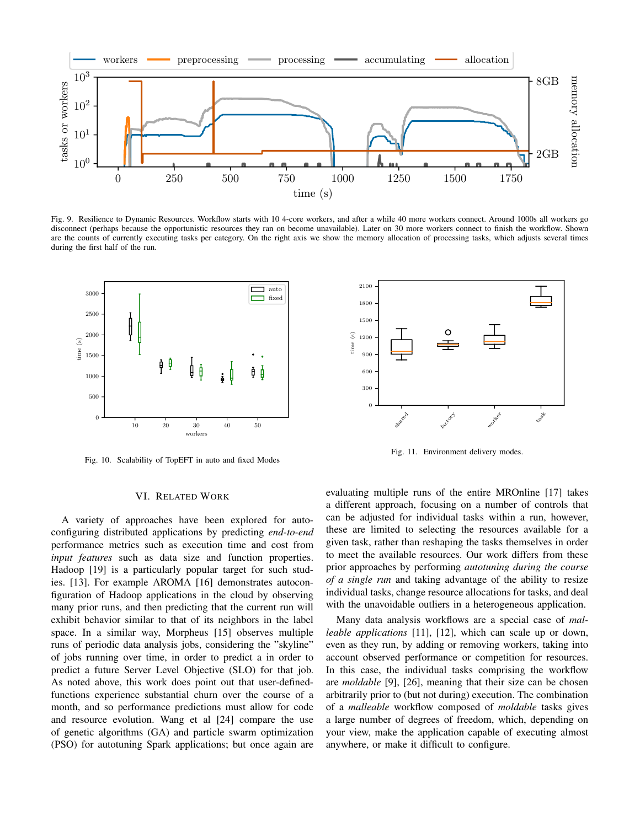

Fig. 9. Resilience to Dynamic Resources. Workflow starts with 10 4-core workers, and after a while 40 more workers connect. Around 1000s all workers go disconnect (perhaps because the opportunistic resources they ran on become unavailable). Later on 30 more workers connect to finish the workflow. Shown are the counts of currently executing tasks per category. On the right axis we show the memory allocation of processing tasks, which adjusts several times during the first half of the run.



Fig. 10. Scalability of TopEFT in auto and fixed Modes

## VI. RELATED WORK

A variety of approaches have been explored for autoconfiguring distributed applications by predicting *end-to-end* performance metrics such as execution time and cost from *input features* such as data size and function properties. Hadoop [19] is a particularly popular target for such studies. [13]. For example AROMA [16] demonstrates autoconfiguration of Hadoop applications in the cloud by observing many prior runs, and then predicting that the current run will exhibit behavior similar to that of its neighbors in the label space. In a similar way, Morpheus [15] observes multiple runs of periodic data analysis jobs, considering the "skyline" of jobs running over time, in order to predict a in order to predict a future Server Level Objective (SLO) for that job. As noted above, this work does point out that user-definedfunctions experience substantial churn over the course of a month, and so performance predictions must allow for code and resource evolution. Wang et al [24] compare the use of genetic algorithms (GA) and particle swarm optimization (PSO) for autotuning Spark applications; but once again are



Fig. 11. Environment delivery modes.

evaluating multiple runs of the entire MROnline [17] takes a different approach, focusing on a number of controls that can be adjusted for individual tasks within a run, however, these are limited to selecting the resources available for a given task, rather than reshaping the tasks themselves in order to meet the available resources. Our work differs from these prior approaches by performing *autotuning during the course of a single run* and taking advantage of the ability to resize individual tasks, change resource allocations for tasks, and deal with the unavoidable outliers in a heterogeneous application.

Many data analysis workflows are a special case of *malleable applications* [11], [12], which can scale up or down, even as they run, by adding or removing workers, taking into account observed performance or competition for resources. In this case, the individual tasks comprising the workflow are *moldable* [9], [26], meaning that their size can be chosen arbitrarily prior to (but not during) execution. The combination of a *malleable* workflow composed of *moldable* tasks gives a large number of degrees of freedom, which, depending on your view, make the application capable of executing almost anywhere, or make it difficult to configure.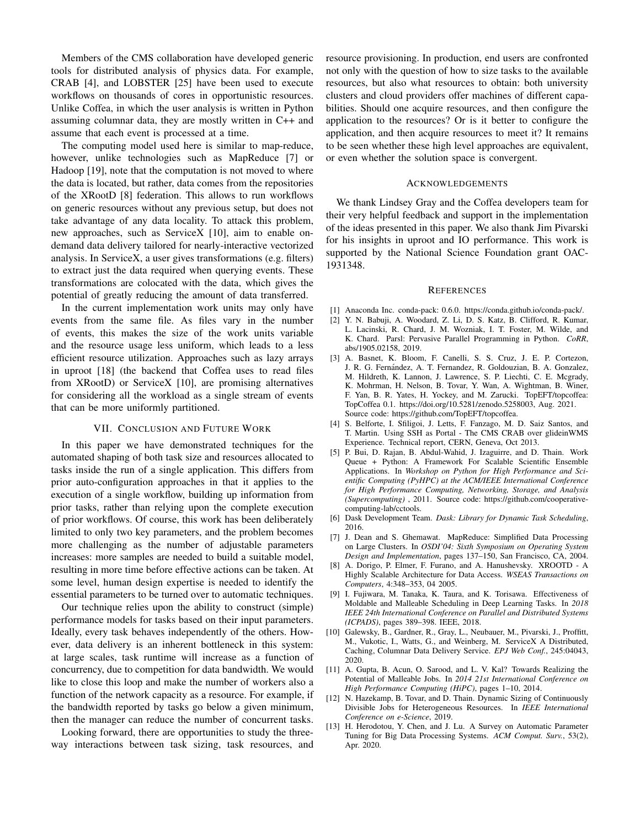Members of the CMS collaboration have developed generic tools for distributed analysis of physics data. For example, CRAB [4], and LOBSTER [25] have been used to execute workflows on thousands of cores in opportunistic resources. Unlike Coffea, in which the user analysis is written in Python assuming columnar data, they are mostly written in C++ and assume that each event is processed at a time.

The computing model used here is similar to map-reduce, however, unlike technologies such as MapReduce [7] or Hadoop [19], note that the computation is not moved to where the data is located, but rather, data comes from the repositories of the XRootD [8] federation. This allows to run workflows on generic resources without any previous setup, but does not take advantage of any data locality. To attack this problem, new approaches, such as ServiceX [10], aim to enable ondemand data delivery tailored for nearly-interactive vectorized analysis. In ServiceX, a user gives transformations (e.g. filters) to extract just the data required when querying events. These transformations are colocated with the data, which gives the potential of greatly reducing the amount of data transferred.

In the current implementation work units may only have events from the same file. As files vary in the number of events, this makes the size of the work units variable and the resource usage less uniform, which leads to a less efficient resource utilization. Approaches such as lazy arrays in uproot [18] (the backend that Coffea uses to read files from XRootD) or ServiceX [10], are promising alternatives for considering all the workload as a single stream of events that can be more uniformly partitioned.

#### VII. CONCLUSION AND FUTURE WORK

In this paper we have demonstrated techniques for the automated shaping of both task size and resources allocated to tasks inside the run of a single application. This differs from prior auto-configuration approaches in that it applies to the execution of a single workflow, building up information from prior tasks, rather than relying upon the complete execution of prior workflows. Of course, this work has been deliberately limited to only two key parameters, and the problem becomes more challenging as the number of adjustable parameters increases: more samples are needed to build a suitable model, resulting in more time before effective actions can be taken. At some level, human design expertise is needed to identify the essential parameters to be turned over to automatic techniques.

Our technique relies upon the ability to construct (simple) performance models for tasks based on their input parameters. Ideally, every task behaves independently of the others. However, data delivery is an inherent bottleneck in this system: at large scales, task runtime will increase as a function of concurrency, due to competition for data bandwidth. We would like to close this loop and make the number of workers also a function of the network capacity as a resource. For example, if the bandwidth reported by tasks go below a given minimum, then the manager can reduce the number of concurrent tasks.

Looking forward, there are opportunities to study the threeway interactions between task sizing, task resources, and resource provisioning. In production, end users are confronted not only with the question of how to size tasks to the available resources, but also what resources to obtain: both university clusters and cloud providers offer machines of different capabilities. Should one acquire resources, and then configure the application to the resources? Or is it better to configure the application, and then acquire resources to meet it? It remains to be seen whether these high level approaches are equivalent, or even whether the solution space is convergent.

#### ACKNOWLEDGEMENTS

We thank Lindsey Gray and the Coffea developers team for their very helpful feedback and support in the implementation of the ideas presented in this paper. We also thank Jim Pivarski for his insights in uproot and IO performance. This work is supported by the National Science Foundation grant OAC-1931348.

#### **REFERENCES**

- [1] Anaconda Inc. conda-pack: 0.6.0. https://conda.github.io/conda-pack/.
- [2] Y. N. Babuji, A. Woodard, Z. Li, D. S. Katz, B. Clifford, R. Kumar, L. Lacinski, R. Chard, J. M. Wozniak, I. T. Foster, M. Wilde, and K. Chard. Parsl: Pervasive Parallel Programming in Python. *CoRR*, abs/1905.02158, 2019.
- [3] A. Basnet, K. Bloom, F. Canelli, S. S. Cruz, J. E. P. Cortezon, J. R. G. Fernández, A. T. Fernandez, R. Goldouzian, B. A. Gonzalez, M. Hildreth, K. Lannon, J. Lawrence, S. P. Liechti, C. E. Mcgrady, K. Mohrman, H. Nelson, B. Tovar, Y. Wan, A. Wightman, B. Winer, F. Yan, B. R. Yates, H. Yockey, and M. Zarucki. TopEFT/topcoffea: TopCoffea 0.1. https://doi.org/10.5281/zenodo.5258003, Aug. 2021. Source code: https://github.com/TopEFT/topcoffea.
- [4] S. Belforte, I. Sfiligoi, J. Letts, F. Fanzago, M. D. Saiz Santos, and T. Martin. Using SSH as Portal - The CMS CRAB over glideinWMS Experience. Technical report, CERN, Geneva, Oct 2013.
- [5] P. Bui, D. Rajan, B. Abdul-Wahid, J. Izaguirre, and D. Thain. Work Queue + Python: A Framework For Scalable Scientific Ensemble Applications. In *Workshop on Python for High Performance and Scientific Computing (PyHPC) at the ACM/IEEE International Conference for High Performance Computing, Networking, Storage, and Analysis (Supercomputing)* , 2011. Source code: https://github.com/cooperativecomputing-lab/cctools.
- [6] Dask Development Team. *Dask: Library for Dynamic Task Scheduling*, 2016.
- [7] J. Dean and S. Ghemawat. MapReduce: Simplified Data Processing on Large Clusters. In *OSDI'04: Sixth Symposium on Operating System Design and Implementation*, pages 137–150, San Francisco, CA, 2004.
- [8] A. Dorigo, P. Elmer, F. Furano, and A. Hanushevsky. XROOTD A Highly Scalable Architecture for Data Access. *WSEAS Transactions on Computers*, 4:348–353, 04 2005.
- [9] I. Fujiwara, M. Tanaka, K. Taura, and K. Torisawa. Effectiveness of Moldable and Malleable Scheduling in Deep Learning Tasks. In *2018 IEEE 24th International Conference on Parallel and Distributed Systems (ICPADS)*, pages 389–398. IEEE, 2018.
- [10] Galewsky, B., Gardner, R., Gray, L., Neubauer, M., Pivarski, J., Proffitt, M., Vukotic, I., Watts, G., and Weinberg, M. ServiceX A Distributed, Caching, Columnar Data Delivery Service. *EPJ Web Conf.*, 245:04043, 2020.
- [11] A. Gupta, B. Acun, O. Sarood, and L. V. Kal? Towards Realizing the Potential of Malleable Jobs. In *2014 21st International Conference on High Performance Computing (HiPC)*, pages 1–10, 2014.
- [12] N. Hazekamp, B. Tovar, and D. Thain. Dynamic Sizing of Continuously Divisible Jobs for Heterogeneous Resources. In *IEEE International Conference on e-Science*, 2019.
- [13] H. Herodotou, Y. Chen, and J. Lu. A Survey on Automatic Parameter Tuning for Big Data Processing Systems. *ACM Comput. Surv.*, 53(2), Apr. 2020.